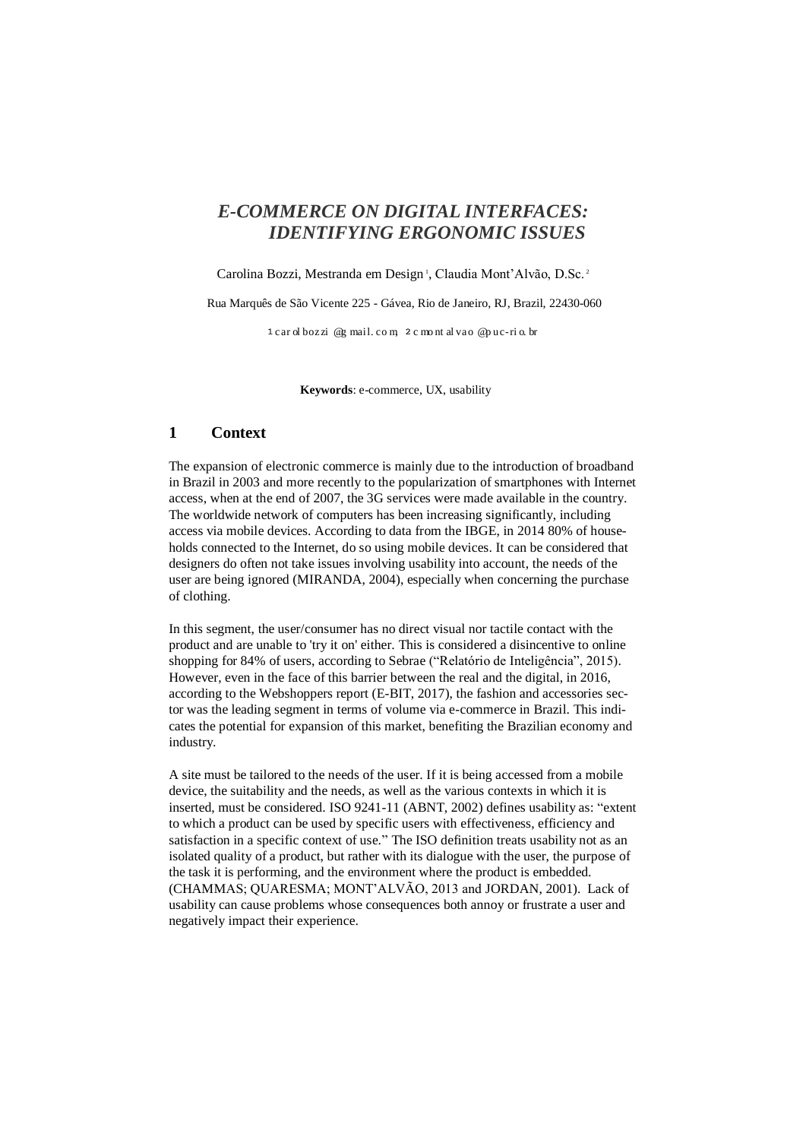# *E-COMMERCE ON DIGITAL INTERFACES: IDENTIFYING ERGONOMIC ISSUES*

Carolina Bozzi, Mestranda em Design<sup>1</sup>, Claudia Mont'Alvão, D.Sc.<sup>2</sup>

Rua Marquês de São Vicente 225 - Gávea, Rio de Janeiro, RJ, Brazil, 22430-060

 $1$  car ol bozzi @g mail. com,  $2$  c mont al vao @puc-ri o. br

**Keywords**: e-commerce, UX, usability

# **1 Context**

The expansion of electronic commerce is mainly due to the introduction of broadband in Brazil in 2003 and more recently to the popularization of smartphones with Internet access, when at the end of 2007, the 3G services were made available in the country. The worldwide network of computers has been increasing significantly, including access via mobile devices. According to data from the IBGE, in 2014 80% of households connected to the Internet, do so using mobile devices. It can be considered that designers do often not take issues involving usability into account, the needs of the user are being ignored (MIRANDA, 2004), especially when concerning the purchase of clothing.

In this segment, the user/consumer has no direct visual nor tactile contact with the product and are unable to 'try it on' either. This is considered a disincentive to online shopping for 84% of users, according to Sebrae ("Relatório de Inteligência", 2015). However, even in the face of this barrier between the real and the digital, in 2016, according to the Webshoppers report (E-BIT, 2017), the fashion and accessories sector was the leading segment in terms of volume via e-commerce in Brazil. This indicates the potential for expansion of this market, benefiting the Brazilian economy and industry.

A site must be tailored to the needs of the user. If it is being accessed from a mobile device, the suitability and the needs, as well as the various contexts in which it is inserted, must be considered. ISO 9241-11 (ABNT, 2002) defines usability as: "extent to which a product can be used by specific users with effectiveness, efficiency and satisfaction in a specific context of use." The ISO definition treats usability not as an isolated quality of a product, but rather with its dialogue with the user, the purpose of the task it is performing, and the environment where the product is embedded. (CHAMMAS; QUARESMA; MONT'ALVÃO, 2013 and JORDAN, 2001). Lack of usability can cause problems whose consequences both annoy or frustrate a user and negatively impact their experience.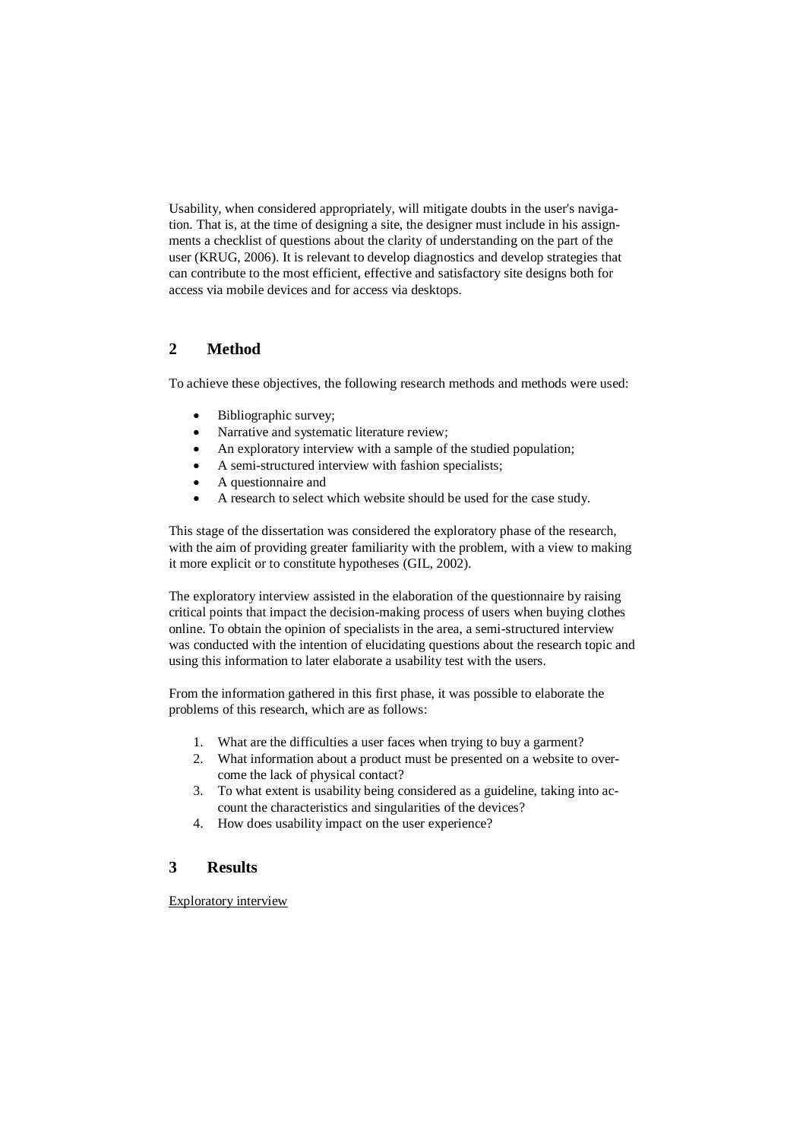Usability, when considered appropriately, will mitigate doubts in the user's navigation. That is, at the time of designing a site, the designer must include in his assignments a checklist of questions about the clarity of understanding on the part of the user (KRUG, 2006). It is relevant to develop diagnostics and develop strategies that can contribute to the most efficient, effective and satisfactory site designs both for access via mobile devices and for access via desktops.

# **2 Method**

To achieve these objectives, the following research methods and methods were used:

- Bibliographic survey;
- Narrative and systematic literature review;
- An exploratory interview with a sample of the studied population;
- A semi-structured interview with fashion specialists;
- A questionnaire and
- A research to select which website should be used for the case study.

This stage of the dissertation was considered the exploratory phase of the research, with the aim of providing greater familiarity with the problem, with a view to making it more explicit or to constitute hypotheses (GIL, 2002).

The exploratory interview assisted in the elaboration of the questionnaire by raising critical points that impact the decision-making process of users when buying clothes online. To obtain the opinion of specialists in the area, a semi-structured interview was conducted with the intention of elucidating questions about the research topic and using this information to later elaborate a usability test with the users.

From the information gathered in this first phase, it was possible to elaborate the problems of this research, which are as follows:

- 1. What are the difficulties a user faces when trying to buy a garment?
- 2. What information about a product must be presented on a website to overcome the lack of physical contact?
- 3. To what extent is usability being considered as a guideline, taking into account the characteristics and singularities of the devices?
- 4. How does usability impact on the user experience?

## **3 Results**

Exploratory interview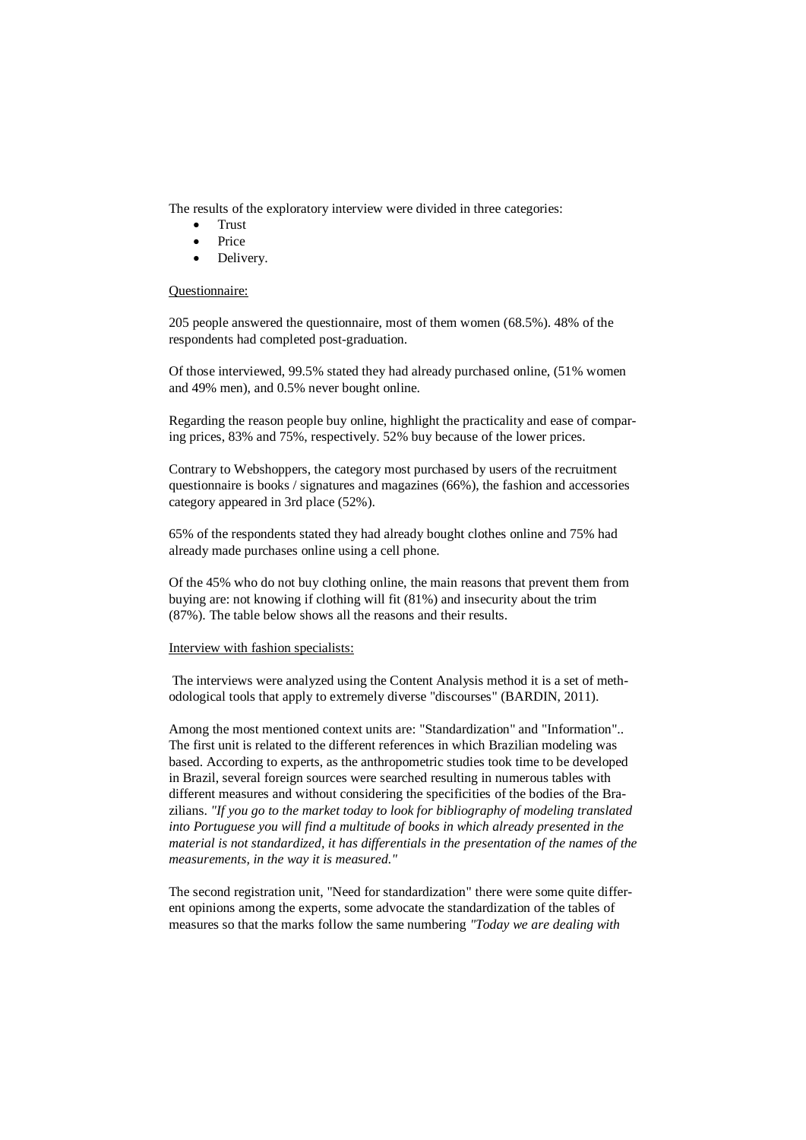The results of the exploratory interview were divided in three categories:

- Trust
- Price
- Delivery.

#### Questionnaire:

205 people answered the questionnaire, most of them women (68.5%). 48% of the respondents had completed post-graduation.

Of those interviewed, 99.5% stated they had already purchased online, (51% women and 49% men), and 0.5% never bought online.

Regarding the reason people buy online, highlight the practicality and ease of comparing prices, 83% and 75%, respectively. 52% buy because of the lower prices.

Contrary to Webshoppers, the category most purchased by users of the recruitment questionnaire is books / signatures and magazines (66%), the fashion and accessories category appeared in 3rd place (52%).

65% of the respondents stated they had already bought clothes online and 75% had already made purchases online using a cell phone.

Of the 45% who do not buy clothing online, the main reasons that prevent them from buying are: not knowing if clothing will fit (81%) and insecurity about the trim (87%). The table below shows all the reasons and their results.

#### Interview with fashion specialists:

The interviews were analyzed using the Content Analysis method it is a set of methodological tools that apply to extremely diverse "discourses" (BARDIN, 2011).

Among the most mentioned context units are: "Standardization" and "Information".. The first unit is related to the different references in which Brazilian modeling was based. According to experts, as the anthropometric studies took time to be developed in Brazil, several foreign sources were searched resulting in numerous tables with different measures and without considering the specificities of the bodies of the Brazilians. *"If you go to the market today to look for bibliography of modeling translated*  into Portuguese you will find a multitude of books in which already presented in the *material is not standardized, it has differentials in the presentation of the names of the measurements, in the way it is measured."*

The second registration unit, "Need for standardization" there were some quite different opinions among the experts, some advocate the standardization of the tables of measures so that the marks follow the same numbering *"Today we are dealing with*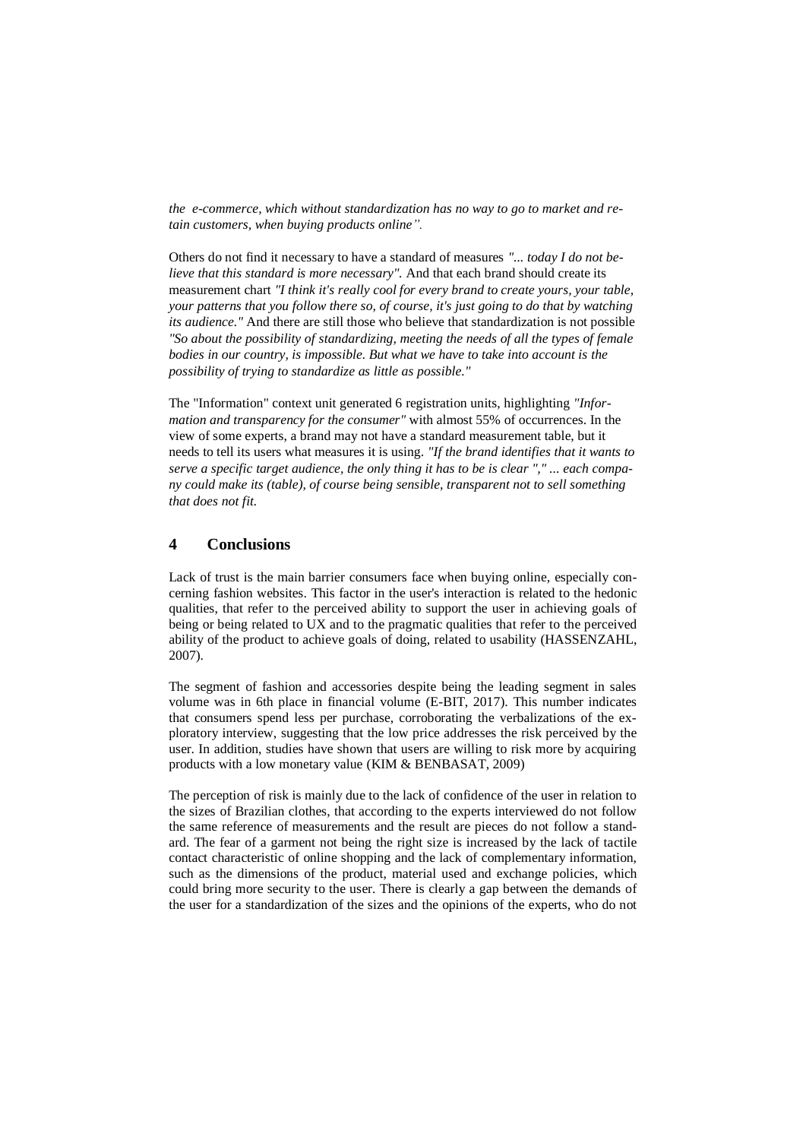*the e-commerce, which without standardization has no way to go to market and retain customers, when buying products online".*

Others do not find it necessary to have a standard of measures *"... today I do not believe that this standard is more necessary".* And that each brand should create its measurement chart *"I think it's really cool for every brand to create yours, your table, your patterns that you follow there so, of course, it's just going to do that by watching its audience."* And there are still those who believe that standardization is not possible *"So about the possibility of standardizing, meeting the needs of all the types of female bodies in our country, is impossible. But what we have to take into account is the possibility of trying to standardize as little as possible."*

The "Information" context unit generated 6 registration units, highlighting *"Information and transparency for the consumer"* with almost 55% of occurrences. In the view of some experts, a brand may not have a standard measurement table, but it needs to tell its users what measures it is using. *"If the brand identifies that it wants to serve a specific target audience, the only thing it has to be is clear "," ... each company could make its (table), of course being sensible, transparent not to sell something that does not fit.*

# **4 Conclusions**

Lack of trust is the main barrier consumers face when buying online, especially concerning fashion websites. This factor in the user's interaction is related to the hedonic qualities, that refer to the perceived ability to support the user in achieving goals of being or being related to UX and to the pragmatic qualities that refer to the perceived ability of the product to achieve goals of doing, related to usability (HASSENZAHL, 2007).

The segment of fashion and accessories despite being the leading segment in sales volume was in 6th place in financial volume (E-BIT, 2017). This number indicates that consumers spend less per purchase, corroborating the verbalizations of the exploratory interview, suggesting that the low price addresses the risk perceived by the user. In addition, studies have shown that users are willing to risk more by acquiring products with a low monetary value (KIM & BENBASAT, 2009)

The perception of risk is mainly due to the lack of confidence of the user in relation to the sizes of Brazilian clothes, that according to the experts interviewed do not follow the same reference of measurements and the result are pieces do not follow a standard. The fear of a garment not being the right size is increased by the lack of tactile contact characteristic of online shopping and the lack of complementary information, such as the dimensions of the product, material used and exchange policies, which could bring more security to the user. There is clearly a gap between the demands of the user for a standardization of the sizes and the opinions of the experts, who do not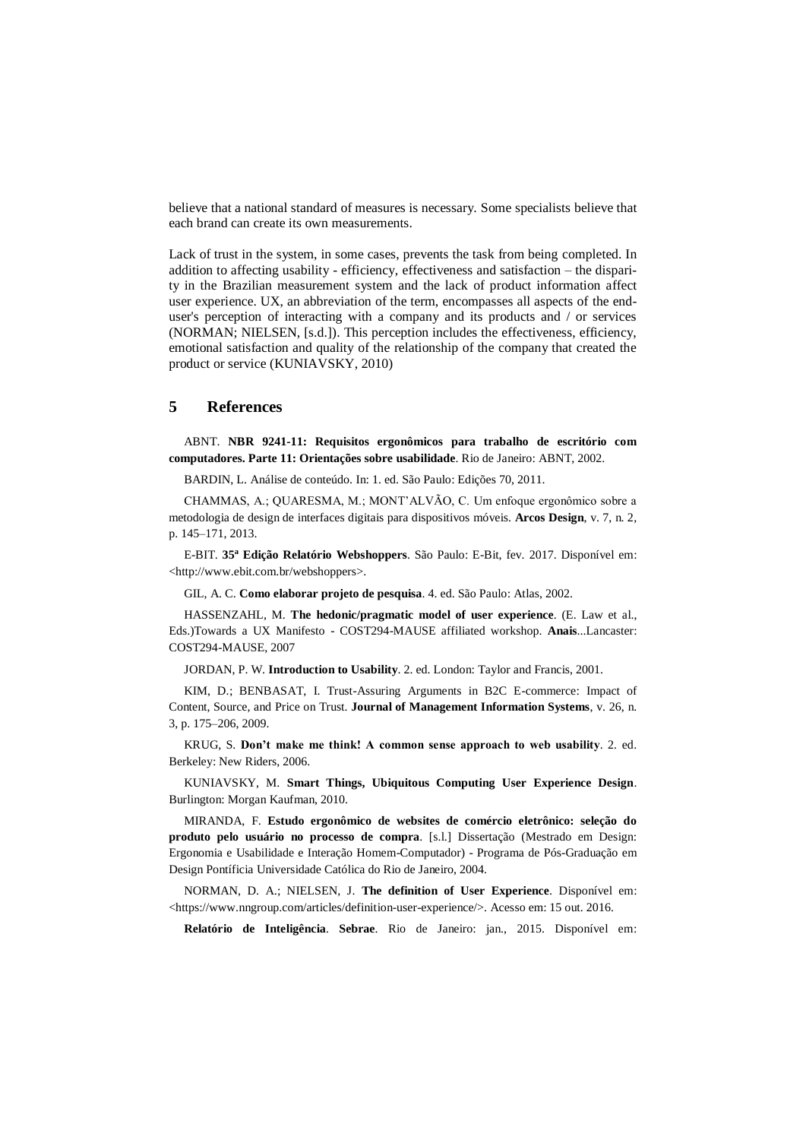believe that a national standard of measures is necessary. Some specialists believe that each brand can create its own measurements.

Lack of trust in the system, in some cases, prevents the task from being completed. In addition to affecting usability - efficiency, effectiveness and satisfaction – the disparity in the Brazilian measurement system and the lack of product information affect user experience. UX, an abbreviation of the term, encompasses all aspects of the enduser's perception of interacting with a company and its products and / or services (NORMAN; NIELSEN, [s.d.]). This perception includes the effectiveness, efficiency, emotional satisfaction and quality of the relationship of the company that created the product or service (KUNIAVSKY, 2010)

## **5 References**

ABNT. **NBR 9241-11: Requisitos ergonômicos para trabalho de escritório com computadores. Parte 11: Orientações sobre usabilidade**. Rio de Janeiro: ABNT, 2002.

BARDIN, L. Análise de conteúdo. In: 1. ed. São Paulo: Edições 70, 2011.

CHAMMAS, A.; QUARESMA, M.; MONT'ALVÃO, C. Um enfoque ergonômico sobre a metodologia de design de interfaces digitais para dispositivos móveis. **Arcos Design**, v. 7, n. 2, p. 145–171, 2013.

E-BIT. **35<sup>a</sup> Edição Relatório Webshoppers**. São Paulo: E-Bit, fev. 2017. Disponível em: <http://www.ebit.com.br/webshoppers>.

GIL, A. C. **Como elaborar projeto de pesquisa**. 4. ed. São Paulo: Atlas, 2002.

HASSENZAHL, M. **The hedonic/pragmatic model of user experience**. (E. Law et al., Eds.)Towards a UX Manifesto - COST294-MAUSE affiliated workshop. **Anais**...Lancaster: COST294-MAUSE, 2007

JORDAN, P. W. **Introduction to Usability**. 2. ed. London: Taylor and Francis, 2001.

KIM, D.; BENBASAT, I. Trust-Assuring Arguments in B2C E-commerce: Impact of Content, Source, and Price on Trust. **Journal of Management Information Systems**, v. 26, n. 3, p. 175–206, 2009.

KRUG, S. **Don't make me think! A common sense approach to web usability**. 2. ed. Berkeley: New Riders, 2006.

KUNIAVSKY, M. **Smart Things, Ubiquitous Computing User Experience Design**. Burlington: Morgan Kaufman, 2010.

MIRANDA, F. **Estudo ergonômico de websites de comércio eletrônico: seleção do produto pelo usuário no processo de compra**. [s.l.] Dissertação (Mestrado em Design: Ergonomia e Usabilidade e Interação Homem-Computador) - Programa de Pós-Graduação em Design Pontíficia Universidade Católica do Rio de Janeiro, 2004.

NORMAN, D. A.; NIELSEN, J. **The definition of User Experience**. Disponível em: <https://www.nngroup.com/articles/definition-user-experience/>. Acesso em: 15 out. 2016.

**Relatório de Inteligência**. **Sebrae**. Rio de Janeiro: jan., 2015. Disponível em: